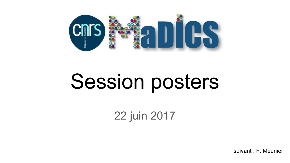

# Session posters

22 juin 2017

suivant : F. Meunier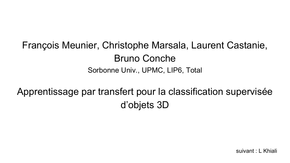## François Meunier, Christophe Marsala, Laurent Castanie, Bruno Conche Sorbonne Univ., UPMC, LIP6, Total

Apprentissage par transfert pour la classification supervisée d'objets 3D

suivant : L Khiali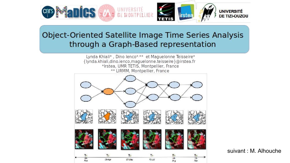

#### Object-Oriented Satellite Image Time Series Analysis through a Graph-Based representation

Lynda Khiali\*, Dino lenco\*.\*\* et Maguelonne Teisseire\* {lynda.khiali,dino.ienco,maguelonne.teisseire}@irstea.fr \*Irstea, UMR TETIS, Montpellier, France \*\* LIRMM, Montpellier, France



suivant : M. Alhouche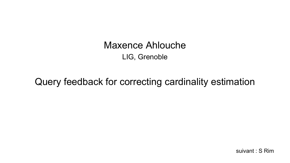**Maxence Ahlouche** LIG, Grenoble

Query feedback for correcting cardinality estimation

suivant: S Rim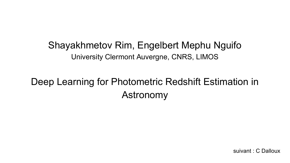#### Shayakhmetov Rim, Engelbert Mephu Nguifo University Clermont Auvergne, CNRS, LIMOS

## Deep Learning for Photometric Redshift Estimation in Astronomy

suivant : C Dalloux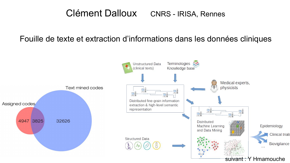#### Clément Dalloux CNRS - IRISA, Rennes

#### Fouille de texte et extraction d'informations dans les données cliniques

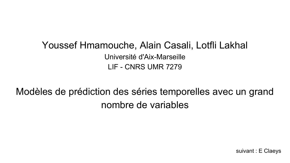#### Youssef Hmamouche, Alain Casali, Lotfli Lakhal Université d'Aix-Marseille LIF - CNRS UMR 7279

Modèles de prédiction des séries temporelles avec un grand nombre de variables

suivant : E Claeys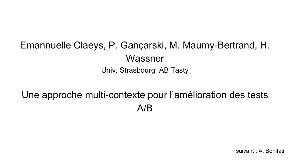## Emannuelle Claeys, P. Gançarski, M. Maumy-Bertrand, H. Wassner Univ. Strasbourg, AB Tasty

## Une approche multi-contexte pour l'amélioration des tests A/B

suivant : A. Bonifati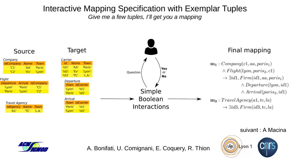#### Interactive Mapping Specification with Exemplar Tuples Give me a few tuples, I'll get you a mapping



suivant : A Macina





A. Bonifati, U. Comignani, E. Coguery, R. Thion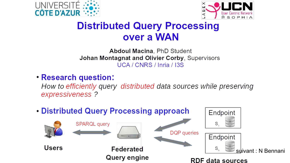



#### **Distributed Query Processing** over a WAN

Abdoul Macina, PhD Student Johan Montagnat and Olivier Corby, Supervisors UCA / CNRS / Inria / I3S

**• Research question:** 

How to efficiently query distributed data sources while preserving expressiveness ?

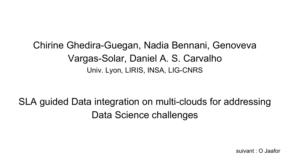## Chirine Ghedira-Guegan, Nadia Bennani, Genoveva Vargas-Solar, Daniel A. S. Carvalho Univ. Lyon, LIRIS, INSA, LIG-CNRS

# SLA guided Data integration on multi-clouds for addressing Data Science challenges

suivant : O Jaafor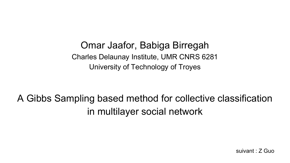Omar Jaafor, Babiga Birregah Charles Delaunay Institute, UMR CNRS 6281 University of Technology of Troyes

A Gibbs Sampling based method for collective classification in multilayer social network